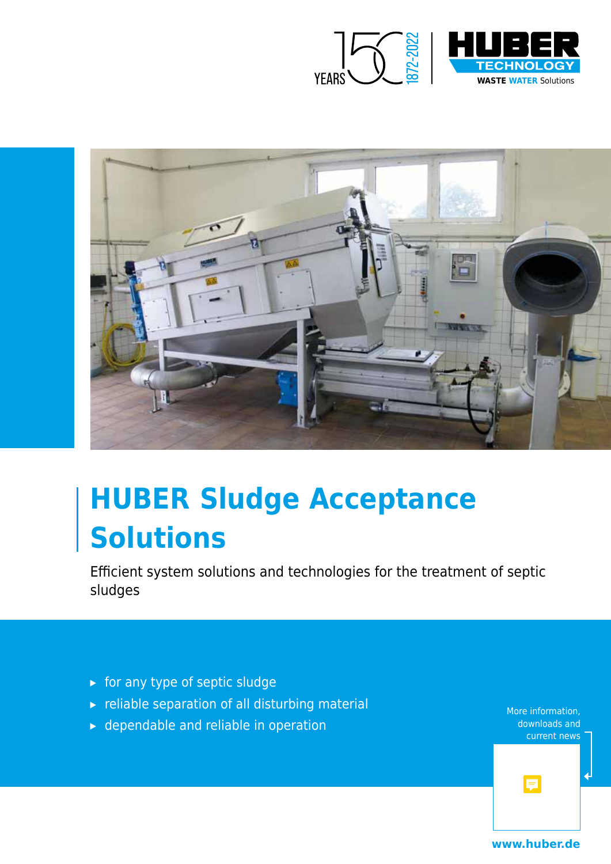



# **HUBER Sludge Acceptance Solutions**

Efficient system solutions and technologies for the treatment of septic sludges

- ▸ for any type of septic sludge
- ▸ reliable separation of all disturbing material
- $\triangleright$  dependable and reliable in operation

More information, downloads and current news

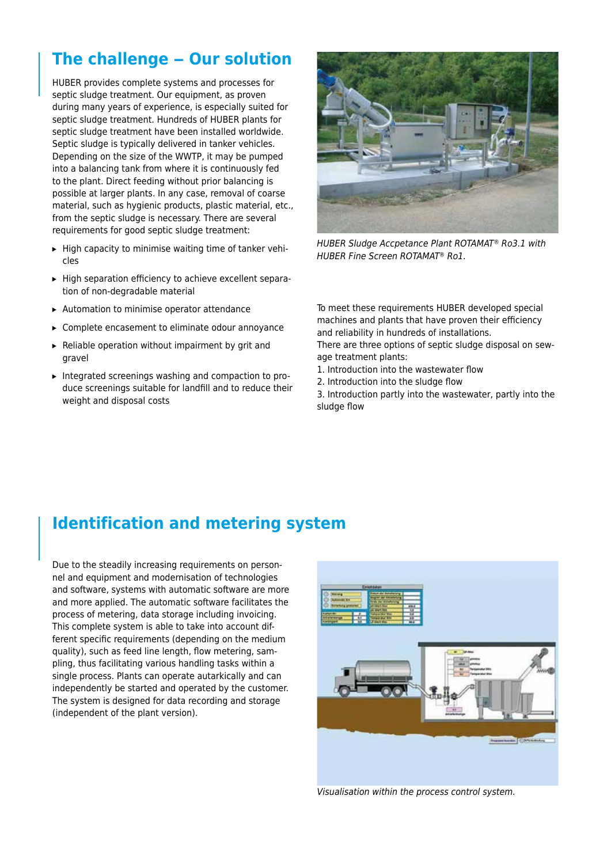## **The challenge – Our solution**

HUBER provides complete systems and processes for septic sludge treatment. Our equipment, as proven during many years of experience, is especially suited for septic sludge treatment. Hundreds of HUBER plants for septic sludge treatment have been installed worldwide. Septic sludge is typically delivered in tanker vehicles. Depending on the size of the WWTP, it may be pumped into a balancing tank from where it is continuously fed to the plant. Direct feeding without prior balancing is possible at larger plants. In any case, removal of coarse material, such as hygienic products, plastic material, etc., from the septic sludge is necessary. There are several requirements for good septic sludge treatment:

- ▸ High capacity to minimise waiting time of tanker vehicles
- ▸ High separation efficiency to achieve excellent separation of non-degradable material
- ▸ Automation to minimise operator attendance
- ▸ Complete encasement to eliminate odour annoyance
- ▸ Reliable operation without impairment by grit and gravel
- ▸ Integrated screenings washing and compaction to produce screenings suitable for landfill and to reduce their weight and disposal costs



*HUBER Sludge Accpetance Plant ROTAMAT® Ro3.1 with HUBER Fine Screen ROTAMAT® Ro1.*

To meet these requirements HUBER developed special machines and plants that have proven their efficiency and reliability in hundreds of installations.

There are three options of septic sludge disposal on sewage treatment plants:

- 1. Introduction into the wastewater flow
- 2. Introduction into the sludge flow

3. Introduction partly into the wastewater, partly into the sludge flow

#### **Identification and metering system**

Due to the steadily increasing requirements on personnel and equipment and modernisation of technologies and software, systems with automatic software are more and more applied. The automatic software facilitates the process of metering, data storage including invoicing. This complete system is able to take into account different specific requirements (depending on the medium quality), such as feed line length, flow metering, sampling, thus facilitating various handling tasks within a single process. Plants can operate autarkically and can independently be started and operated by the customer. The system is designed for data recording and storage (independent of the plant version).



*Visualisation within the process control system.*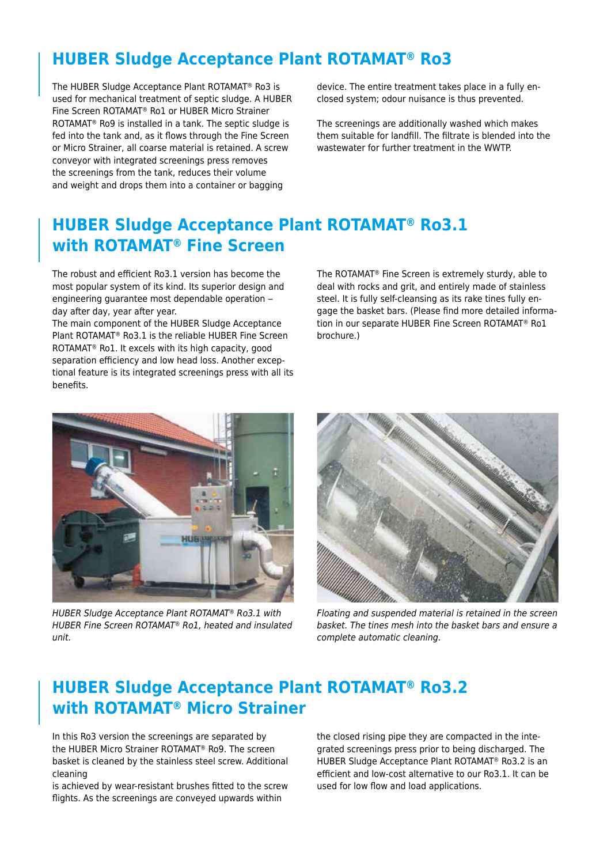### **HUBER Sludge Acceptance Plant ROTAMAT® Ro3**

The HUBER Sludge Acceptance Plant ROTAMAT® Ro3 is used for mechanical treatment of septic sludge. A HUBER Fine Screen ROTAMAT® Ro1 or HUBER Micro Strainer ROTAMAT® Ro9 is installed in a tank. The septic sludge is fed into the tank and, as it flows through the Fine Screen or Micro Strainer, all coarse material is retained. A screw conveyor with integrated screenings press removes the screenings from the tank, reduces their volume and weight and drops them into a container or bagging

device. The entire treatment takes place in a fully enclosed system; odour nuisance is thus prevented.

The screenings are additionally washed which makes them suitable for landfill. The filtrate is blended into the wastewater for further treatment in the WWTP.

#### **HUBER Sludge Acceptance Plant ROTAMAT® Ro3.1 with ROTAMAT® Fine Screen**

The robust and efficient Ro3.1 version has become the most popular system of its kind. Its superior design and engineering guarantee most dependable operation – day after day, year after year.

The main component of the HUBER Sludge Acceptance Plant ROTAMAT® Ro3.1 is the reliable HUBER Fine Screen ROTAMAT® Ro1. It excels with its high capacity, good separation efficiency and low head loss. Another exceptional feature is its integrated screenings press with all its benefits.

The ROTAMAT® Fine Screen is extremely sturdy, able to deal with rocks and grit, and entirely made of stainless steel. It is fully self-cleansing as its rake tines fully engage the basket bars. (Please find more detailed information in our separate HUBER Fine Screen ROTAMAT® Ro1 brochure.)



*HUBER Sludge Acceptance Plant ROTAMAT® Ro3.1 with HUBER Fine Screen ROTAMAT® Ro1, heated and insulated unit.*



*Floating and suspended material is retained in the screen basket. The tines mesh into the basket bars and ensure a complete automatic cleaning.* 

#### **HUBER Sludge Acceptance Plant ROTAMAT® Ro3.2 with ROTAMAT® Micro Strainer**

In this Ro3 version the screenings are separated by the HUBER Micro Strainer ROTAMAT® Ro9. The screen basket is cleaned by the stainless steel screw. Additional cleaning

is achieved by wear-resistant brushes fitted to the screw flights. As the screenings are conveyed upwards within

the closed rising pipe they are compacted in the integrated screenings press prior to being discharged. The HUBER Sludge Acceptance Plant ROTAMAT® Ro3.2 is an efficient and low-cost alternative to our Ro3.1. It can be used for low flow and load applications.